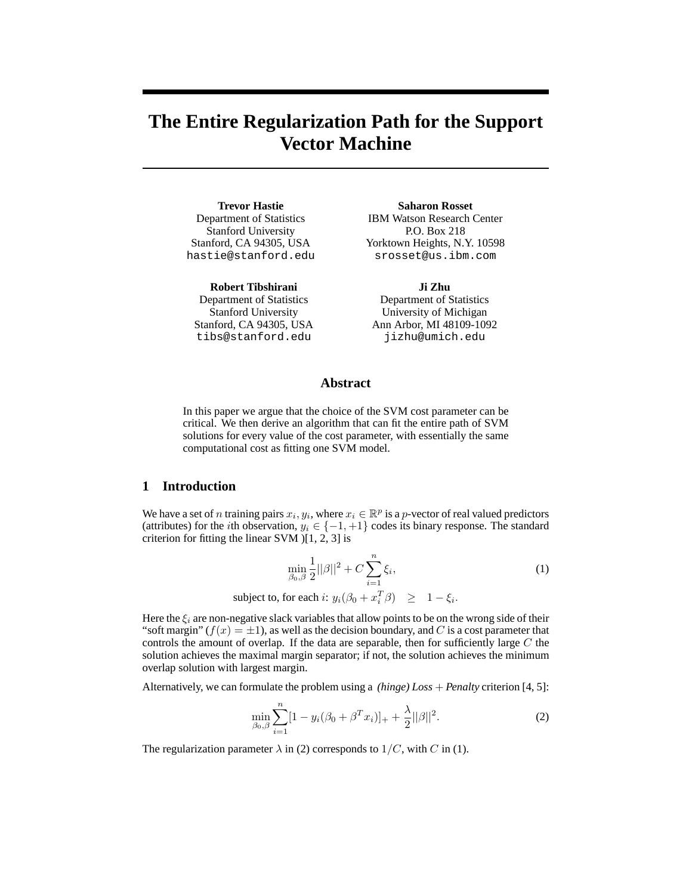# **The Entire Regularization Path for the Support Vector Machine**

**Trevor Hastie** Department of Statistics Stanford University Stanford, CA 94305, USA hastie@stanford.edu

**Robert Tibshirani**

Department of Statistics Stanford University Stanford, CA 94305, USA tibs@stanford.edu

#### **Saharon Rosset**

IBM Watson Research Center P.O. Box 218 Yorktown Heights, N.Y. 10598 srosset@us.ibm.com

**Ji Zhu**

Department of Statistics University of Michigan Ann Arbor, MI 48109-1092 jizhu@umich.edu

# **Abstract**

In this paper we argue that the choice of the SVM cost parameter can be critical. We then derive an algorithm that can fit the entire path of SVM solutions for every value of the cost parameter, with essentially the same computational cost as fitting one SVM model.

# **1 Introduction**

We have a set of n training pairs  $x_i, y_i$ , where  $x_i \in \mathbb{R}^p$  is a p-vector of real valued predictors (attributes) for the *i*th observation,  $y_i \in \{-1, +1\}$  codes its binary response. The standard criterion for fitting the linear SVM )[1, 2, 3] is

$$
\min_{\beta_0, \beta} \frac{1}{2} ||\beta||^2 + C \sum_{i=1}^n \xi_i,
$$
\n
$$
\text{subject to, for each } i: y_i(\beta_0 + x_i^T \beta) \ge 1 - \xi_i.
$$
\n
$$
(1)
$$

Here the  $\xi_i$  are non-negative slack variables that allow points to be on the wrong side of their "soft margin"  $(f(x) = \pm 1)$ , as well as the decision boundary, and C is a cost parameter that controls the amount of overlap. If the data are separable, then for sufficiently large  $C$  the solution achieves the maximal margin separator; if not, the solution achieves the minimum overlap solution with largest margin.

Alternatively, we can formulate the problem using a *(hinge) Loss* + *Penalty* criterion [4, 5]:

$$
\min_{\beta_0, \beta} \sum_{i=1}^n [1 - y_i(\beta_0 + \beta^T x_i)]_+ + \frac{\lambda}{2} ||\beta||^2.
$$
 (2)

The regularization parameter  $\lambda$  in (2) corresponds to  $1/C$ , with C in (1).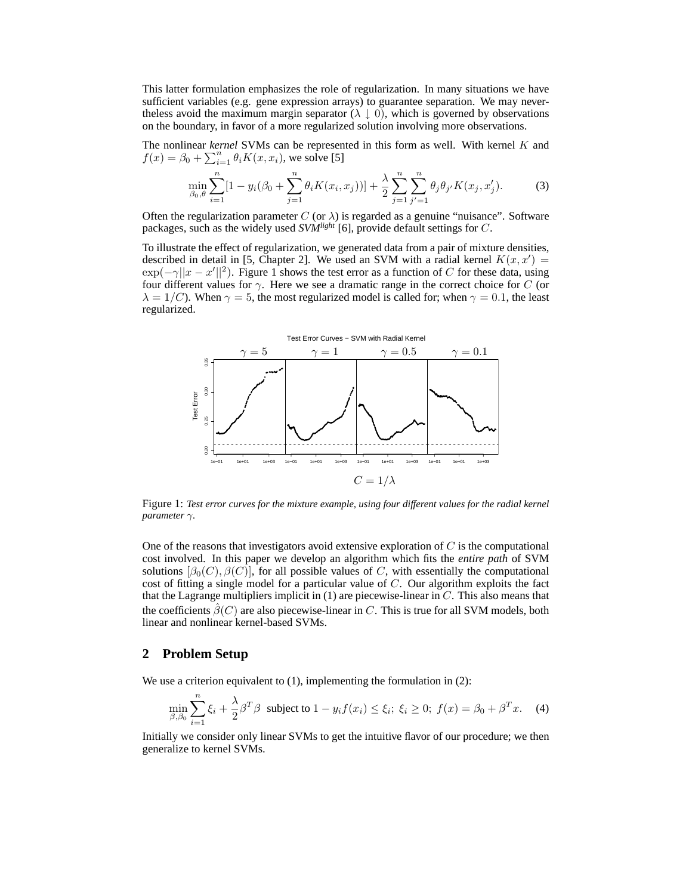This latter formulation emphasizes the role of regularization. In many situations we have sufficient variables (e.g. gene expression arrays) to guarantee separation. We may nevertheless avoid the maximum margin separator ( $\lambda \downarrow 0$ ), which is governed by observations on the boundary, in favor of a more regularized solution involving more observations.

The nonlinear *kernel* SVMs can be represented in this form as well. With kernel K and  $f(x) = \beta_0 + \sum_{i=1}^n \theta_i K(x, x_i)$ , we solve [5]

$$
\min_{\beta_0, \theta} \sum_{i=1}^n [1 - y_i(\beta_0 + \sum_{j=1}^n \theta_i K(x_i, x_j))] + \frac{\lambda}{2} \sum_{j=1}^n \sum_{j'=1}^n \theta_j \theta_{j'} K(x_j, x'_j). \tag{3}
$$

Often the regularization parameter  $C$  (or  $\lambda$ ) is regarded as a genuine "nuisance". Software packages, such as the widely used *SVMlight* [6], provide default settings for C.

To illustrate the effect of regularization, we generated data from a pair of mixture densities, described in detail in [5, Chapter 2]. We used an SVM with a radial kernel  $K(x, x') =$  $\exp(-\gamma ||x - x'||^2)$ . Figure 1 shows the test error as a function of C for these data, using four different values for  $\gamma$ . Here we see a dramatic range in the correct choice for C (or  $\lambda = 1/C$ ). When  $\gamma = 5$ , the most regularized model is called for; when  $\gamma = 0.1$ , the least regularized.



Figure 1: *Test error curves for the mixture example, using four different values for the radial kernel parameter* γ*.*

One of the reasons that investigators avoid extensive exploration of  $C$  is the computational cost involved. In this paper we develop an algorithm which fits the *entire path* of SVM solutions  $[\beta_0(C), \beta(C)]$ , for all possible values of C, with essentially the computational cost of fitting a single model for a particular value of  $C$ . Our algorithm exploits the fact that the Lagrange multipliers implicit in  $(1)$  are piecewise-linear in  $C$ . This also means that the coefficients  $\hat{\beta}(C)$  are also piecewise-linear in C. This is true for all SVM models, both linear and nonlinear kernel-based SVMs.

## **2 Problem Setup**

We use a criterion equivalent to  $(1)$ , implementing the formulation in  $(2)$ :

$$
\min_{\beta,\beta_0} \sum_{i=1}^n \xi_i + \frac{\lambda}{2} \beta^T \beta \text{ subject to } 1 - y_i f(x_i) \le \xi_i; \ \xi_i \ge 0; \ f(x) = \beta_0 + \beta^T x. \tag{4}
$$

Initially we consider only linear SVMs to get the intuitive flavor of our procedure; we then generalize to kernel SVMs.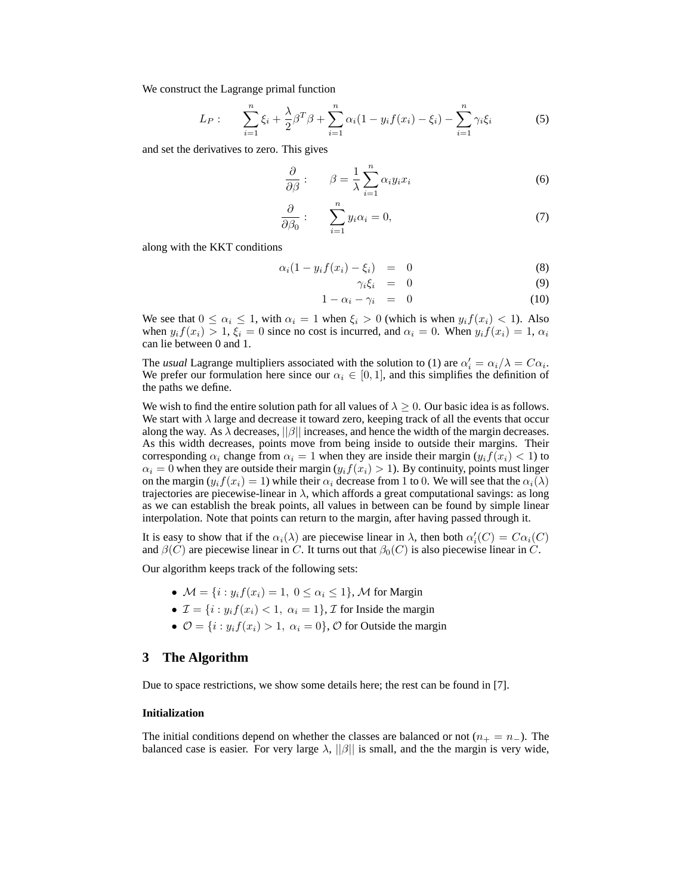We construct the Lagrange primal function

$$
L_P: \qquad \sum_{i=1}^n \xi_i + \frac{\lambda}{2} \beta^T \beta + \sum_{i=1}^n \alpha_i (1 - y_i f(x_i) - \xi_i) - \sum_{i=1}^n \gamma_i \xi_i \tag{5}
$$

and set the derivatives to zero. This gives

$$
\frac{\partial}{\partial \beta}:\qquad \beta = \frac{1}{\lambda} \sum_{i=1}^{n} \alpha_i y_i x_i \tag{6}
$$

$$
\frac{\partial}{\partial \beta_0}:\qquad \sum_{i=1}^n y_i \alpha_i = 0,\tag{7}
$$

along with the KKT conditions

$$
\alpha_i(1 - y_i f(x_i) - \xi_i) = 0 \tag{8}
$$

$$
\gamma_i \xi_i = 0 \tag{9}
$$

$$
1 - \alpha_i - \gamma_i = 0 \tag{10}
$$

We see that  $0 \le \alpha_i \le 1$ , with  $\alpha_i = 1$  when  $\xi_i > 0$  (which is when  $y_i f(x_i) < 1$ ). Also when  $y_i f(x_i) > 1$ ,  $\xi_i = 0$  since no cost is incurred, and  $\alpha_i = 0$ . When  $y_i f(x_i) = 1$ ,  $\alpha_i$ can lie between 0 and 1.

The *usual* Lagrange multipliers associated with the solution to (1) are  $\alpha'_i = \alpha_i/\lambda = C\alpha_i$ . We prefer our formulation here since our  $\alpha_i \in [0,1]$ , and this simplifies the definition of the paths we define.

We wish to find the entire solution path for all values of  $\lambda > 0$ . Our basic idea is as follows. We start with  $\lambda$  large and decrease it toward zero, keeping track of all the events that occur along the way. As  $\lambda$  decreases,  $||\beta||$  increases, and hence the width of the margin decreases. As this width decreases, points move from being inside to outside their margins. Their corresponding  $\alpha_i$  change from  $\alpha_i = 1$  when they are inside their margin  $(y_i f(x_i) < 1)$  to  $\alpha_i = 0$  when they are outside their margin  $(y_i f(x_i) > 1)$ . By continuity, points must linger on the margin  $(y_i f(x_i)=1)$  while their  $\alpha_i$  decrease from 1 to 0. We will see that the  $\alpha_i(\lambda)$ trajectories are piecewise-linear in  $\lambda$ , which affords a great computational savings: as long as we can establish the break points, all values in between can be found by simple linear interpolation. Note that points can return to the margin, after having passed through it.

It is easy to show that if the  $\alpha_i(\lambda)$  are piecewise linear in  $\lambda$ , then both  $\alpha'_i(C) = C\alpha_i(C)$ and  $\beta(C)$  are piecewise linear in C. It turns out that  $\beta_0(C)$  is also piecewise linear in C.

Our algorithm keeps track of the following sets:

- $\mathcal{M} = \{i : y_i f(x_i) = 1, 0 \leq \alpha_i \leq 1\}$ , M for Margin
- $\mathcal{I} = \{i : y_i f(x_i) < 1, \alpha_i = 1\}$ ,  $\mathcal{I}$  for Inside the margin
- $\mathcal{O} = \{i : y_i f(x_i) > 1, \alpha_i = 0\}, \mathcal{O}$  for Outside the margin

## **3 The Algorithm**

Due to space restrictions, we show some details here; the rest can be found in [7].

#### **Initialization**

The initial conditions depend on whether the classes are balanced or not  $(n_{+} = n_{-})$ . The balanced case is easier. For very large  $\lambda$ ,  $||\beta||$  is small, and the the margin is very wide,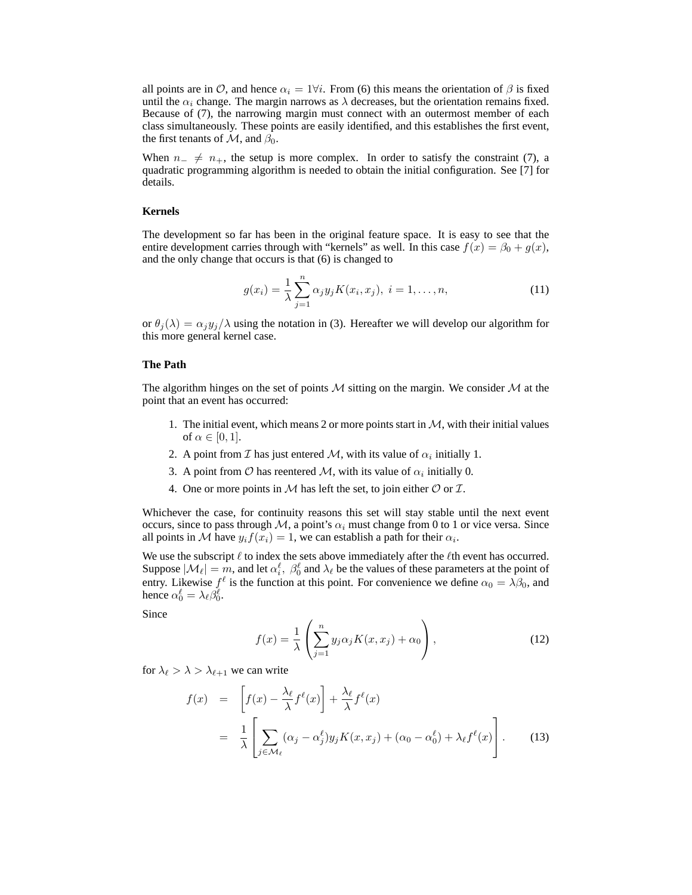all points are in  $\mathcal{O}$ , and hence  $\alpha_i = 1 \forall i$ . From (6) this means the orientation of  $\beta$  is fixed until the  $\alpha_i$  change. The margin narrows as  $\lambda$  decreases, but the orientation remains fixed. Because of (7), the narrowing margin must connect with an outermost member of each class simultaneously. These points are easily identified, and this establishes the first event, the first tenants of  $\mathcal{M}$ , and  $\beta_0$ .

When  $n_+ \neq n_+$ , the setup is more complex. In order to satisfy the constraint (7), a quadratic programming algorithm is needed to obtain the initial configuration. See [7] for details.

### **Kernels**

The development so far has been in the original feature space. It is easy to see that the entire development carries through with "kernels" as well. In this case  $f(x) = \beta_0 + g(x)$ , and the only change that occurs is that (6) is changed to

$$
g(x_i) = \frac{1}{\lambda} \sum_{j=1}^{n} \alpha_j y_j K(x_i, x_j), \ i = 1, \dots, n,
$$
 (11)

or  $\theta_i(\lambda) = \alpha_i y_i/\lambda$  using the notation in (3). Hereafter we will develop our algorithm for this more general kernel case.

## **The Path**

The algorithm hinges on the set of points M sitting on the margin. We consider M at the point that an event has occurred:

- 1. The initial event, which means 2 or more points start in  $M$ , with their initial values of  $\alpha \in [0,1]$ .
- 2. A point from *I* has just entered *M*, with its value of  $\alpha_i$  initially 1.
- 3. A point from  $\mathcal O$  has reentered  $\mathcal M$ , with its value of  $\alpha_i$  initially 0.
- 4. One or more points in  $M$  has left the set, to join either  $O$  or  $I$ .

Whichever the case, for continuity reasons this set will stay stable until the next event occurs, since to pass through M, a point's  $\alpha_i$  must change from 0 to 1 or vice versa. Since all points in M have  $y_i f(x_i)=1$ , we can establish a path for their  $\alpha_i$ .

We use the subscript  $\ell$  to index the sets above immediately after the  $\ell$ th event has occurred. Suppose  $|\mathcal{M}_\ell| = m$ , and let  $\alpha_i^{\ell}$ ,  $\beta_0^{\ell}$  and  $\lambda_{\ell}$  be the values of these parameters at the point of entry. Likewise  $f^{\ell}$  is the function at this point. For convenience we define  $\alpha_0 = \lambda \beta_0$ , and hence  $\alpha_0^{\ell} = \lambda_{\ell} \beta_0^{\ell}$ .

Since

$$
f(x) = \frac{1}{\lambda} \left( \sum_{j=1}^{n} y_j \alpha_j K(x, x_j) + \alpha_0 \right),
$$
 (12)

for  $\lambda_{\ell} > \lambda > \lambda_{\ell+1}$  we can write

$$
f(x) = \left[ f(x) - \frac{\lambda_{\ell}}{\lambda} f^{\ell}(x) \right] + \frac{\lambda_{\ell}}{\lambda} f^{\ell}(x)
$$
  

$$
= \frac{1}{\lambda} \left[ \sum_{j \in \mathcal{M}_{\ell}} (\alpha_j - \alpha_j^{\ell}) y_j K(x, x_j) + (\alpha_0 - \alpha_0^{\ell}) + \lambda_{\ell} f^{\ell}(x) \right].
$$
 (13)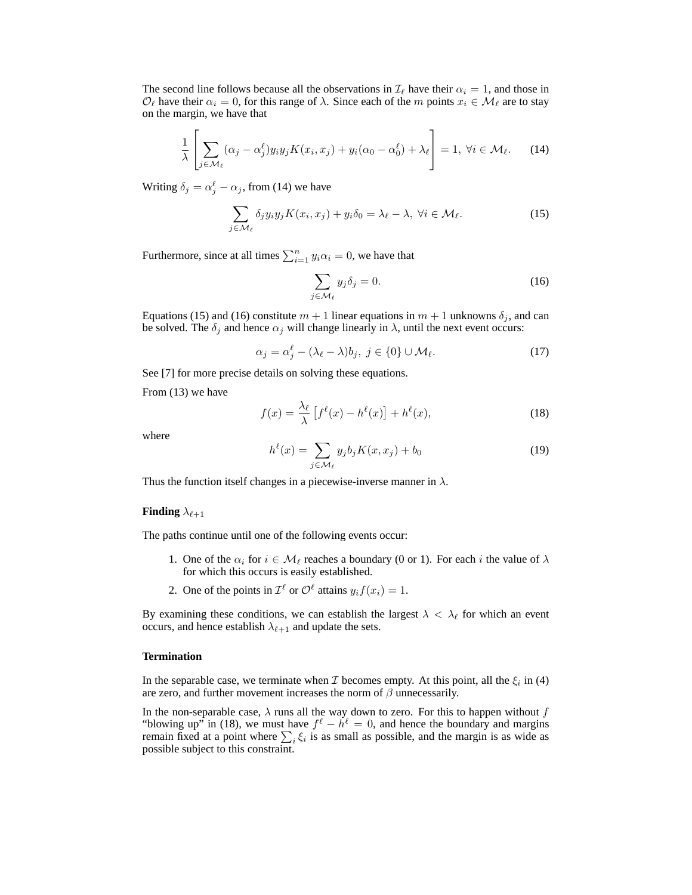The second line follows because all the observations in  $\mathcal{I}_{\ell}$  have their  $\alpha_i = 1$ , and those in  $\mathcal{O}_\ell$  have their  $\alpha_i = 0$ , for this range of  $\lambda$ . Since each of the m points  $x_i \in \mathcal{M}_\ell$  are to stay on the margin, we have that

$$
\frac{1}{\lambda} \left[ \sum_{j \in \mathcal{M}_{\ell}} (\alpha_j - \alpha_j^{\ell}) y_i y_j K(x_i, x_j) + y_i (\alpha_0 - \alpha_0^{\ell}) + \lambda_{\ell} \right] = 1, \ \forall i \in \mathcal{M}_{\ell}.
$$
 (14)

Writing  $\delta_j = \alpha_j^{\ell} - \alpha_j$ , from (14) we have

$$
\sum_{j \in \mathcal{M}_{\ell}} \delta_j y_i y_j K(x_i, x_j) + y_i \delta_0 = \lambda_{\ell} - \lambda, \ \forall i \in \mathcal{M}_{\ell}.
$$
 (15)

Furthermore, since at all times  $\sum_{i=1}^{n} y_i \alpha_i = 0$ , we have that

$$
\sum_{j \in \mathcal{M}_{\ell}} y_j \delta_j = 0. \tag{16}
$$

Equations (15) and (16) constitute  $m + 1$  linear equations in  $m + 1$  unknowns  $\delta_j$ , and can be solved. The  $\delta_j$  and hence  $\alpha_j$  will change linearly in  $\lambda$ , until the next event occurs:

$$
\alpha_j = \alpha_j^{\ell} - (\lambda_{\ell} - \lambda)b_j, \ j \in \{0\} \cup \mathcal{M}_{\ell}.
$$
 (17)

See [7] for more precise details on solving these equations.

From (13) we have

$$
f(x) = \frac{\lambda_{\ell}}{\lambda} \left[ f^{\ell}(x) - h^{\ell}(x) \right] + h^{\ell}(x), \tag{18}
$$

where

$$
h^{\ell}(x) = \sum_{j \in \mathcal{M}_{\ell}} y_j b_j K(x, x_j) + b_0
$$
\n(19)

Thus the function itself changes in a piecewise-inverse manner in  $\lambda$ .

#### **Finding**  $\lambda_{\ell+1}$

The paths continue until one of the following events occur:

- 1. One of the  $\alpha_i$  for  $i \in \mathcal{M}_\ell$  reaches a boundary (0 or 1). For each i the value of  $\lambda$ for which this occurs is easily established.
- 2. One of the points in  $\mathcal{I}^{\ell}$  or  $\mathcal{O}^{\ell}$  attains  $y_i f(x_i)=1$ .

By examining these conditions, we can establish the largest  $\lambda < \lambda_{\ell}$  for which an event occurs, and hence establish  $\lambda_{\ell+1}$  and update the sets.

#### **Termination**

In the separable case, we terminate when  $\mathcal I$  becomes empty. At this point, all the  $\xi_i$  in (4) are zero, and further movement increases the norm of  $\beta$  unnecessarily.

In the non-separable case,  $\lambda$  runs all the way down to zero. For this to happen without f "blowing up" in (18), we must have  $f^{\ell} - h^{\ell} = 0$ , and hence the boundary and margins remain fixed at a point where  $\sum_i \xi_i$  is as small as possible, and the margin is as wide as possible subject to this constraint.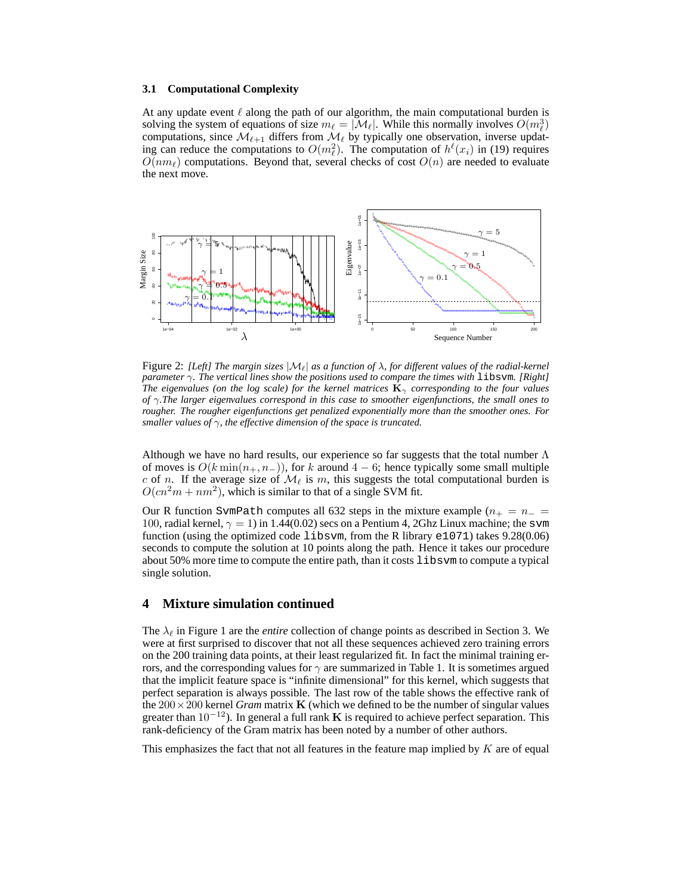#### **3.1 Computational Complexity**

At any update event  $\ell$  along the path of our algorithm, the main computational burden is solving the system of equations of size  $m_{\ell} = |\mathcal{M}_{\ell}|$ . While this normally involves  $O(m_{\ell}^3)$ computations, since  $\mathcal{M}_{\ell+1}$  differs from  $\mathcal{M}_{\ell}$  by typically one observation, inverse updating can reduce the computations to  $O(m_\ell^2)$ . The computation of  $h^\ell(x_i)$  in (19) requires  $\overline{O}(nm)$  computations. Beyond that, several checks of cost  $O(n)$  are needed to evaluate the next move.



Figure 2: *[Left] The margin sizes*  $|M_{\ell}|$  *as a function of*  $\lambda$ *, for different values of the radial-kernel parameter* γ*. The vertical lines show the positions used to compare the times with* libsvm*. [Right] The eigenvalues (on the log scale) for the kernel matrices*  $\mathbf{K}_{\gamma}$  *corresponding to the four values of* γ*.The larger eigenvalues correspond in this case to smoother eigenfunctions, the small ones to rougher. The rougher eigenfunctions get penalized exponentially more than the smoother ones. For smaller values of* γ*, the effective dimension of the space is truncated.*

Although we have no hard results, our experience so far suggests that the total number  $\Lambda$ of moves is  $O(k \min(n_+, n_-))$ , for k around 4 − 6; hence typically some small multiple c of n. If the average size of  $\mathcal{M}_{\ell}$  is m, this suggests the total computational burden is  $O(cn^2m + nm^2)$ , which is similar to that of a single SVM fit.

Our R function SvmPath computes all 632 steps in the mixture example  $(n_{+} = n_{-} =$ 100, radial kernel,  $\gamma = 1$ ) in 1.44(0.02) secs on a Pentium 4, 2Ghz Linux machine; the svm function (using the optimized code libsvm, from the R library e1071) takes 9.28(0.06) seconds to compute the solution at 10 points along the path. Hence it takes our procedure about 50% more time to compute the entire path, than it costs libsvm to compute a typical single solution.

# **4 Mixture simulation continued**

The  $\lambda_{\ell}$  in Figure 1 are the *entire* collection of change points as described in Section 3. We were at first surprised to discover that not all these sequences achieved zero training errors on the 200 training data points, at their least regularized fit. In fact the minimal training errors, and the corresponding values for  $\gamma$  are summarized in Table 1. It is sometimes argued that the implicit feature space is "infinite dimensional" for this kernel, which suggests that perfect separation is always possible. The last row of the table shows the effective rank of the  $200 \times 200$  kernel *Gram* matrix **K** (which we defined to be the number of singular values greater than  $10^{-12}$ ). In general a full rank **K** is required to achieve perfect separation. This rank-deficiency of the Gram matrix has been noted by a number of other authors.

This emphasizes the fact that not all features in the feature map implied by  $K$  are of equal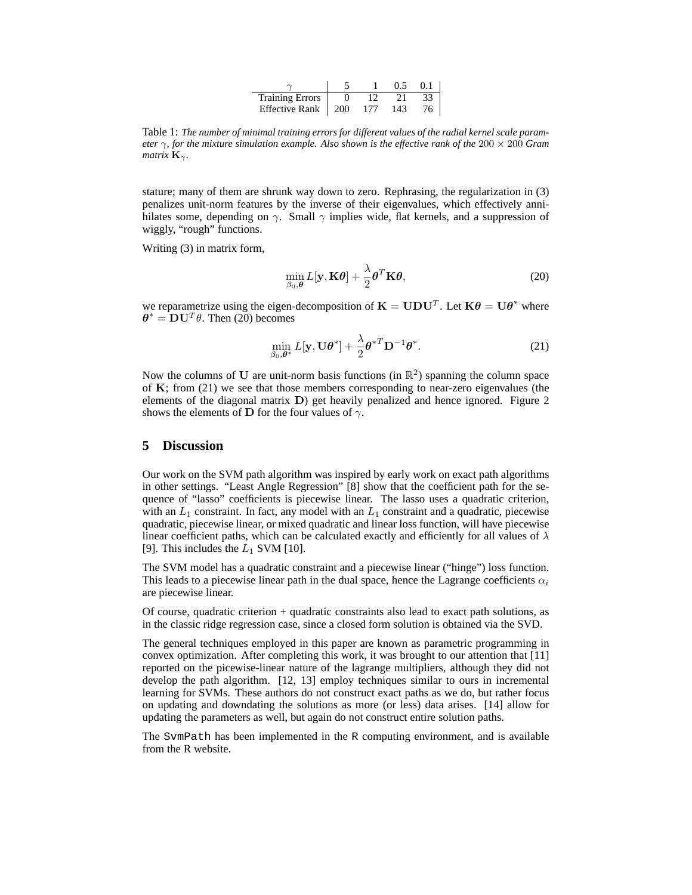|                        |      |     | 05  | 01 |
|------------------------|------|-----|-----|----|
| <b>Training Errors</b> |      |     |     |    |
| Effective Rank         | -200 | 177 | 143 |    |

Table 1: *The number of minimal training errors for different values of the radial kernel scale parameter* γ*, for the mixture simulation example. Also shown is the effective rank of the* 200 × 200 *Gram matrix*  $\mathbf{K}_{\gamma}$ *.* 

stature; many of them are shrunk way down to zero. Rephrasing, the regularization in (3) penalizes unit-norm features by the inverse of their eigenvalues, which effectively annihilates some, depending on  $\gamma$ . Small  $\gamma$  implies wide, flat kernels, and a suppression of wiggly, "rough" functions.

Writing (3) in matrix form,

$$
\min_{\beta_0, \boldsymbol{\theta}} L[\mathbf{y}, \mathbf{K}\boldsymbol{\theta}] + \frac{\lambda}{2} \boldsymbol{\theta}^T \mathbf{K}\boldsymbol{\theta},
$$
\n(20)

we reparametrize using the eigen-decomposition of  $\mathbf{K} = \mathbf{U} \mathbf{D} \mathbf{U}^T$ . Let  $\mathbf{K} \theta = \mathbf{U} \theta^*$  where  $\theta^* = D U^T \theta$ . Then (20) becomes

$$
\min_{\beta_0, \boldsymbol{\theta}^*} L[\mathbf{y}, \mathbf{U}\boldsymbol{\theta}^*] + \frac{\lambda}{2} {\boldsymbol{\theta}^*}^T \mathbf{D}^{-1} {\boldsymbol{\theta}^*}.
$$
 (21)

Now the columns of U are unit-norm basis functions (in  $\mathbb{R}^2$ ) spanning the column space of **K**; from (21) we see that those members corresponding to near-zero eigenvalues (the elements of the diagonal matrix **D**) get heavily penalized and hence ignored. Figure 2 shows the elements of **D** for the four values of  $\gamma$ .

## **5 Discussion**

Our work on the SVM path algorithm was inspired by early work on exact path algorithms in other settings. "Least Angle Regression" [8] show that the coefficient path for the sequence of "lasso" coefficients is piecewise linear. The lasso uses a quadratic criterion, with an  $L_1$  constraint. In fact, any model with an  $L_1$  constraint and a quadratic, piecewise quadratic, piecewise linear, or mixed quadratic and linear loss function, will have piecewise linear coefficient paths, which can be calculated exactly and efficiently for all values of  $\lambda$ [9]. This includes the  $L_1$  SVM [10].

The SVM model has a quadratic constraint and a piecewise linear ("hinge") loss function. This leads to a piecewise linear path in the dual space, hence the Lagrange coefficients  $\alpha_i$ are piecewise linear.

Of course, quadratic criterion + quadratic constraints also lead to exact path solutions, as in the classic ridge regression case, since a closed form solution is obtained via the SVD.

The general techniques employed in this paper are known as parametric programming in convex optimization. After completing this work, it was brought to our attention that [11] reported on the picewise-linear nature of the lagrange multipliers, although they did not develop the path algorithm. [12, 13] employ techniques similar to ours in incremental learning for SVMs. These authors do not construct exact paths as we do, but rather focus on updating and downdating the solutions as more (or less) data arises. [14] allow for updating the parameters as well, but again do not construct entire solution paths.

The SvmPath has been implemented in the R computing environment, and is available from the R website.